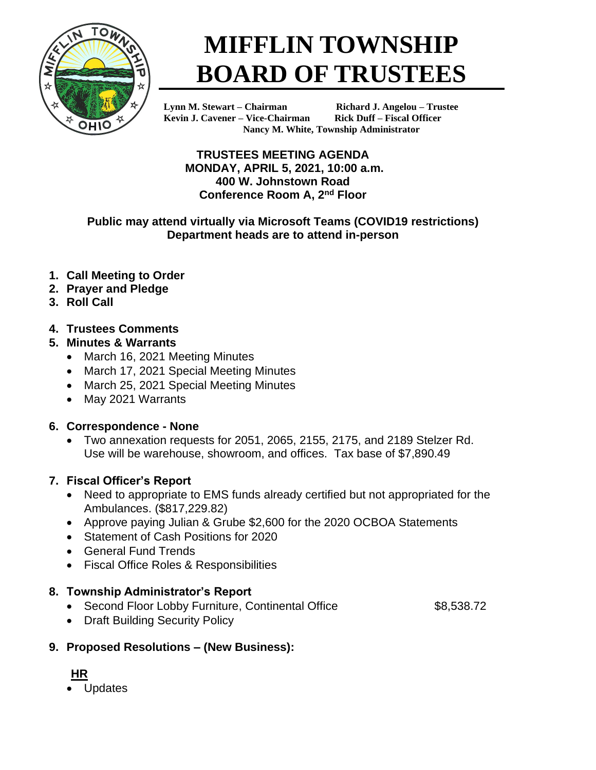

# **MIFFLIN TOWNSHIP BOARD OF TRUSTEES**

**Kevin J. Cavener – Vice-Chairman Rick Duff – Fiscal Officer**

**Lynn M. Stewart – Chairman Richard J. Angelou – Trustee Nancy M. White, Township Administrator**

**TRUSTEES MEETING AGENDA MONDAY, APRIL 5, 2021, 10:00 a.m. 400 W. Johnstown Road Conference Room A, 2nd Floor**

#### **Public may attend virtually via Microsoft Teams (COVID19 restrictions) Department heads are to attend in-person**

- **1. Call Meeting to Order**
- **2. Prayer and Pledge**
- **3. Roll Call**

## **4. Trustees Comments**

- **5. Minutes & Warrants**
	- March 16, 2021 Meeting Minutes
	- March 17, 2021 Special Meeting Minutes
	- March 25, 2021 Special Meeting Minutes
	- May 2021 Warrants

## **6. Correspondence - None**

• Two annexation requests for 2051, 2065, 2155, 2175, and 2189 Stelzer Rd. Use will be warehouse, showroom, and offices. Tax base of \$7,890.49

## **7. Fiscal Officer's Report**

- Need to appropriate to EMS funds already certified but not appropriated for the Ambulances. (\$817,229.82)
- Approve paying Julian & Grube \$2,600 for the 2020 OCBOA Statements
- Statement of Cash Positions for 2020
- General Fund Trends
- Fiscal Office Roles & Responsibilities

## **8. Township Administrator's Report**

- Second Floor Lobby Furniture, Continental Office \$8,538.72
- Draft Building Security Policy

## **9. Proposed Resolutions – (New Business):**

# **HR**

• Updates